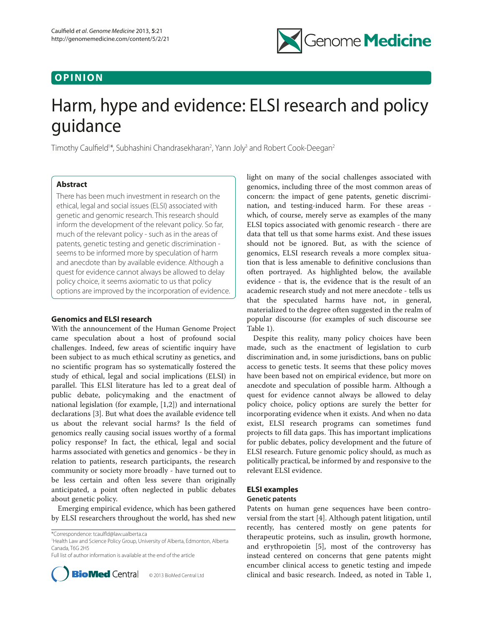## **O P I N I O N**



# Harm, hype and evidence: ELSI research and policy guidance

Timothy Caulfield<sup>1\*</sup>, Subhashini Chandrasekharan<sup>2</sup>, Yann Joly<sup>3</sup> and Robert Cook-Deegan<sup>2</sup>

## **Abstract**

There has been much investment in research on the ethical, legal and social issues (ELSI) associated with genetic and genomic research. This research should inform the development of the relevant policy. So far, much of the relevant policy - such as in the areas of patents, genetic testing and genetic discrimination seems to be informed more by speculation of harm and anecdote than by available evidence. Although a quest for evidence cannot always be allowed to delay policy choice, it seems axiomatic to us that policy options are improved by the incorporation of evidence.

## **Genomics and ELSI research**

With the announcement of the Human Genome Project came speculation about a host of profound social challenges. Indeed, few areas of scientific inquiry have been subject to as much ethical scrutiny as genetics, and no scientific program has so systematically fostered the study of ethical, legal and social implications (ELSI) in parallel. This ELSI literature has led to a great deal of public debate, policymaking and the enactment of national legislation (for example, [1,2]) and international declarations [3]. But what does the available evidence tell us about the relevant social harms? Is the field of genomics really causing social issues worthy of a formal policy response? In fact, the ethical, legal and social harms associated with genetics and genomics - be they in relation to patients, research participants, the research community or society more broadly - have turned out to be less certain and often less severe than originally anticipated, a point often neglected in public debates about genetic policy.

Emerging empirical evidence, which has been gathered by ELSI researchers throughout the world, has shed new

\*Correspondence: tcaulfld@law.ualberta.ca

1 Health Law and Science Policy Group, University of Alberta, Edmonton, Alberta Canada, T6G 2H5

Full list of author information is available at the end of the article



© 2013 BioMed Central Ltd

light on many of the social challenges associated with genomics, including three of the most common areas of concern: the impact of gene patents, genetic discrimination, and testing-induced harm. For these areas which, of course, merely serve as examples of the many ELSI topics associated with genomic research - there are data that tell us that some harms exist. And these issues should not be ignored. But, as with the science of genomics, ELSI research reveals a more complex situation that is less amenable to definitive conclusions than often portrayed. As highlighted below, the available evidence - that is, the evidence that is the result of an academic research study and not mere anecdote - tells us that the speculated harms have not, in general, materialized to the degree often suggested in the realm of popular discourse (for examples of such discourse see Table 1).

Despite this reality, many policy choices have been made, such as the enactment of legislation to curb discrimination and, in some jurisdictions, bans on public access to genetic tests. It seems that these policy moves have been based not on empirical evidence, but more on anecdote and speculation of possible harm. Although a quest for evidence cannot always be allowed to delay policy choice, policy options are surely the better for incorporating evidence when it exists. And when no data exist, ELSI research programs can sometimes fund projects to fill data gaps. This has important implications for public debates, policy development and the future of ELSI research. Future genomic policy should, as much as politically practical, be informed by and responsive to the relevant ELSI evidence.

## **ELSI examples**

## **Genetic patents**

Patents on human gene sequences have been controversial from the start [4]. Although patent litigation, until recently, has centered mostly on gene patents for therapeutic proteins, such as insulin, growth hormone, and erythropoietin [5], most of the controversy has instead centered on concerns that gene patents might encumber clinical access to genetic testing and impede clinical and basic research. Indeed, as noted in Table 1,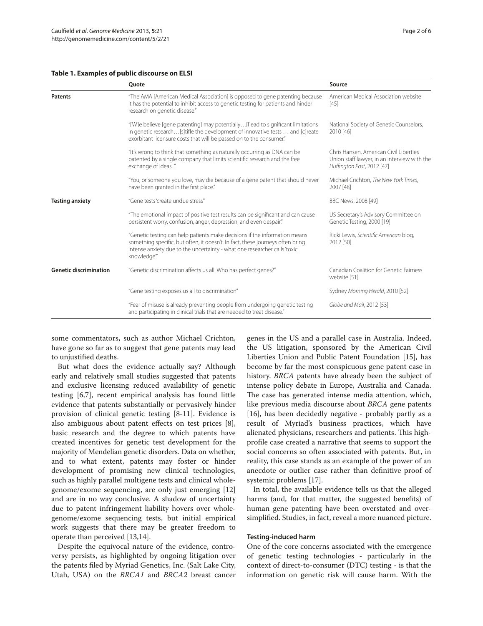### **Table 1. Examples of public discourse on ELSI**

|                               | Quote                                                                                                                                                                                                                                                    | Source                                                                                                               |
|-------------------------------|----------------------------------------------------------------------------------------------------------------------------------------------------------------------------------------------------------------------------------------------------------|----------------------------------------------------------------------------------------------------------------------|
| <b>Patents</b>                | "The AMA [American Medical Association] is opposed to gene patenting because<br>it has the potential to inhibit access to genetic testing for patients and hinder<br>research on genetic disease."                                                       | American Medical Association website<br>$[45]$                                                                       |
|                               | "[W]e believe [gene patenting] may potentially[I]ead to significant limitations<br>in genetic research [s] tifle the development of innovative tests  and [c] reate<br>exorbitant licensure costs that will be passed on to the consumer."               | National Society of Genetic Counselors,<br>2010 [46]                                                                 |
|                               | "It's wrong to think that something as naturally occurring as DNA can be<br>patented by a single company that limits scientific research and the free<br>exchange of ideas"                                                                              | Chris Hansen, American Civil Liberties<br>Union staff lawyer, in an interview with the<br>Huffington Post, 2012 [47] |
|                               | "You, or someone you love, may die because of a gene patent that should never<br>have been granted in the first place."                                                                                                                                  | Michael Crichton, The New York Times,<br>2007 [48]                                                                   |
| <b>Testing anxiety</b>        | "Gene tests 'create undue stress"                                                                                                                                                                                                                        | BBC News, 2008 [49]                                                                                                  |
|                               | "The emotional impact of positive test results can be significant and can cause<br>persistent worry, confusion, anger, depression, and even despair."                                                                                                    | US Secretary's Advisory Committee on<br>Genetic Testing, 2000 [19]                                                   |
|                               | "Genetic testing can help patients make decisions if the information means<br>something specific, but often, it doesn't. In fact, these journeys often bring<br>intense anxiety due to the uncertainty - what one researcher calls 'toxic<br>knowledge." | Ricki Lewis, Scientific American blog,<br>2012 [50]                                                                  |
| <b>Genetic discrimination</b> | "Genetic discrimination affects us all! Who has perfect genes?"                                                                                                                                                                                          | Canadian Coalition for Genetic Fairness<br>website [51]                                                              |
|                               | "Gene testing exposes us all to discrimination"                                                                                                                                                                                                          | Sydney Morning Herald, 2010 [52]                                                                                     |
|                               | "Fear of misuse is already preventing people from undergoing genetic testing<br>and participating in clinical trials that are needed to treat disease."                                                                                                  | Globe and Mail, 2012 [53]                                                                                            |

some commentators, such as author Michael Crichton, have gone so far as to suggest that gene patents may lead to unjustified deaths.

But what does the evidence actually say? Although early and relatively small studies suggested that patents and exclusive licensing reduced availability of genetic testing [6,7], recent empirical analysis has found little evidence that patents substantially or pervasively hinder provision of clinical genetic testing [8-11]. Evidence is also ambiguous about patent effects on test prices [8], basic research and the degree to which patents have created incentives for genetic test development for the majority of Mendelian genetic disorders. Data on whether, and to what extent, patents may foster or hinder development of promising new clinical technologies, such as highly parallel multigene tests and clinical wholegenome/exome sequencing, are only just emerging [12] and are in no way conclusive. A shadow of uncertainty due to patent infringement liability hovers over wholegenome/exome sequencing tests, but initial empirical work suggests that there may be greater freedom to operate than perceived [13,14].

Despite the equivocal nature of the evidence, controversy persists, as highlighted by ongoing litigation over the patents filed by Myriad Genetics, Inc. (Salt Lake City, Utah, USA) on the *BRCA1* and *BRCA2* breast cancer genes in the US and a parallel case in Australia. Indeed, the US litigation, sponsored by the American Civil Liberties Union and Public Patent Foundation [15], has become by far the most conspicuous gene patent case in history. *BRCA* patents have already been the subject of intense policy debate in Europe, Australia and Canada. The case has generated intense media attention, which, like previous media discourse about *BRCA* gene patents [16], has been decidedly negative - probably partly as a result of Myriad's business practices, which have alienated physicians, researchers and patients. This highprofile case created a narrative that seems to support the social concerns so often associated with patents. But, in reality, this case stands as an example of the power of an anecdote or outlier case rather than definitive proof of systemic problems [17].

In total, the available evidence tells us that the alleged harms (and, for that matter, the suggested benefits) of human gene patenting have been overstated and oversimplified. Studies, in fact, reveal a more nuanced picture.

## **Testing-induced harm**

One of the core concerns associated with the emergence of genetic testing technologies - particularly in the context of direct-to-consumer (DTC) testing - is that the information on genetic risk will cause harm. With the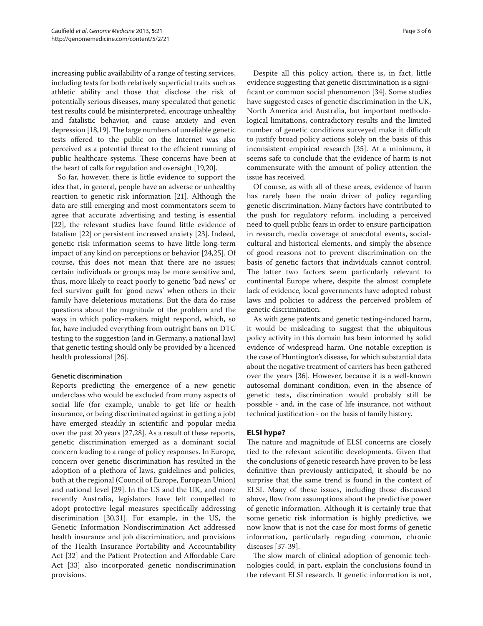increasing public availability of a range of testing services, including tests for both relatively superficial traits such as athletic ability and those that disclose the risk of potentially serious diseases, many speculated that genetic test results could be misinterpreted, encourage unhealthy and fatalistic behavior, and cause anxiety and even depression [18,19]. The large numbers of unreliable genetic tests offered to the public on the Internet was also perceived as a potential threat to the efficient running of public healthcare systems. These concerns have been at the heart of calls for regulation and oversight [19,20].

So far, however, there is little evidence to support the idea that, in general, people have an adverse or unhealthy reaction to genetic risk information [21]. Although the data are still emerging and most commentators seem to agree that accurate advertising and testing is essential [22], the relevant studies have found little evidence of fatalism [22] or persistent increased anxiety [23]. Indeed, genetic risk information seems to have little long-term impact of any kind on perceptions or behavior [24,25]. Of course, this does not mean that there are no issues; certain individuals or groups may be more sensitive and, thus, more likely to react poorly to genetic 'bad news' or feel survivor guilt for 'good news' when others in their family have deleterious mutations. But the data do raise questions about the magnitude of the problem and the ways in which policy-makers might respond, which, so far, have included everything from outright bans on DTC testing to the suggestion (and in Germany, a national law) that genetic testing should only be provided by a licenced health professional [26].

## **Genetic discrimination**

Reports predicting the emergence of a new genetic underclass who would be excluded from many aspects of social life (for example, unable to get life or health insurance, or being discriminated against in getting a job) have emerged steadily in scientific and popular media over the past 20 years [27,28]. As a result of these reports, genetic discrimination emerged as a dominant social concern leading to a range of policy responses. In Europe, concern over genetic discrimination has resulted in the adoption of a plethora of laws, guidelines and policies, both at the regional (Council of Europe, European Union) and national level [29]. In the US and the UK, and more recently Australia, legislators have felt compelled to adopt protective legal measures specifically addressing discrimination [30,31]. For example, in the US, the Genetic Information Nondiscrimination Act addressed health insurance and job discrimination, and provisions of the Health Insurance Portability and Accountability Act [32] and the Patient Protection and Affordable Care Act [33] also incorporated genetic nondiscrimination provisions.

Despite all this policy action, there is, in fact, little evidence suggesting that genetic discrimination is a significant or common social phenomenon [34]. Some studies have suggested cases of genetic discrimination in the UK, North America and Australia, but important methodological limitations, contradictory results and the limited number of genetic conditions surveyed make it difficult to justify broad policy actions solely on the basis of this inconsistent empirical research [35]. At a minimum, it seems safe to conclude that the evidence of harm is not commensurate with the amount of policy attention the issue has received.

Of course, as with all of these areas, evidence of harm has rarely been the main driver of policy regarding genetic discrimination. Many factors have contributed to the push for regulatory reform, including a perceived need to quell public fears in order to ensure participation in research, media coverage of anecdotal events, socialcultural and historical elements, and simply the absence of good reasons not to prevent discrimination on the basis of genetic factors that individuals cannot control. The latter two factors seem particularly relevant to continental Europe where, despite the almost complete lack of evidence, local governments have adopted robust laws and policies to address the perceived problem of genetic discrimination.

As with gene patents and genetic testing-induced harm, it would be misleading to suggest that the ubiquitous policy activity in this domain has been informed by solid evidence of widespread harm. One notable exception is the case of Huntington's disease, for which substantial data about the negative treatment of carriers has been gathered over the years [36]. However, because it is a well-known autosomal dominant condition, even in the absence of genetic tests, discrimination would probably still be possible - and, in the case of life insurance, not without technical justification - on the basis of family history.

## **ELSI hype?**

The nature and magnitude of ELSI concerns are closely tied to the relevant scientific developments. Given that the conclusions of genetic research have proven to be less definitive than previously anticipated, it should be no surprise that the same trend is found in the context of ELSI. Many of these issues, including those discussed above, flow from assumptions about the predictive power of genetic information. Although it is certainly true that some genetic risk information is highly predictive, we now know that is not the case for most forms of genetic information, particularly regarding common, chronic diseases [37-39].

The slow march of clinical adoption of genomic technologies could, in part, explain the conclusions found in the relevant ELSI research. If genetic information is not,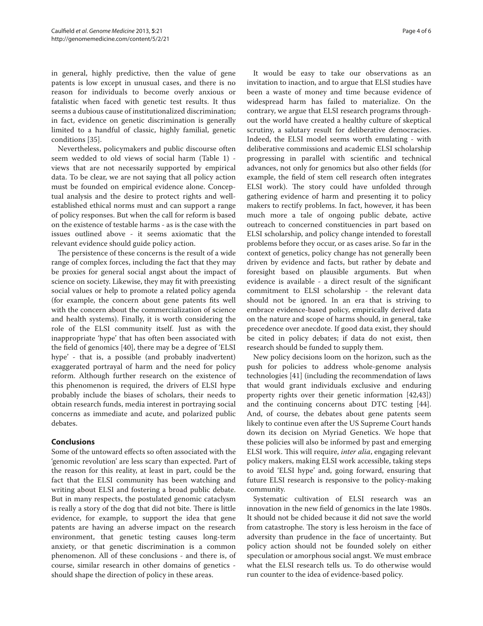in general, highly predictive, then the value of gene patents is low except in unusual cases, and there is no reason for individuals to become overly anxious or fatalistic when faced with genetic test results. It thus seems a dubious cause of institutionalized discrimination; in fact, evidence on genetic discrimination is generally limited to a handful of classic, highly familial, genetic conditions [35].

Nevertheless, policymakers and public discourse often seem wedded to old views of social harm (Table 1) views that are not necessarily supported by empirical data. To be clear, we are not saying that all policy action must be founded on empirical evidence alone. Conceptual analysis and the desire to protect rights and wellestablished ethical norms must and can support a range of policy responses. But when the call for reform is based on the existence of testable harms - as is the case with the issues outlined above - it seems axiomatic that the relevant evidence should guide policy action.

The persistence of these concerns is the result of a wide range of complex forces, including the fact that they may be proxies for general social angst about the impact of science on society. Likewise, they may fit with preexisting social values or help to promote a related policy agenda (for example, the concern about gene patents fits well with the concern about the commercialization of science and health systems). Finally, it is worth considering the role of the ELSI community itself. Just as with the inappropriate 'hype' that has often been associated with the field of genomics [40], there may be a degree of 'ELSI hype' - that is, a possible (and probably inadvertent) exaggerated portrayal of harm and the need for policy reform. Although further research on the existence of this phenomenon is required, the drivers of ELSI hype probably include the biases of scholars, their needs to obtain research funds, media interest in portraying social concerns as immediate and acute, and polarized public debates.

## **Conclusions**

Some of the untoward effects so often associated with the 'genomic revolution' are less scary than expected. Part of the reason for this reality, at least in part, could be the fact that the ELSI community has been watching and writing about ELSI and fostering a broad public debate. But in many respects, the postulated genomic cataclysm is really a story of the dog that did not bite. There is little evidence, for example, to support the idea that gene patents are having an adverse impact on the research environment, that genetic testing causes long-term anxiety, or that genetic discrimination is a common phenomenon. All of these conclusions - and there is, of course, similar research in other domains of genetics should shape the direction of policy in these areas.

It would be easy to take our observations as an invitation to inaction, and to argue that ELSI studies have been a waste of money and time because evidence of widespread harm has failed to materialize. On the contrary, we argue that ELSI research programs throughout the world have created a healthy culture of skeptical scrutiny, a salutary result for deliberative democracies. Indeed, the ELSI model seems worth emulating - with deliberative commissions and academic ELSI scholarship progressing in parallel with scientific and technical advances, not only for genomics but also other fields (for example, the field of stem cell research often integrates ELSI work). The story could have unfolded through gathering evidence of harm and presenting it to policy makers to rectify problems. In fact, however, it has been much more a tale of ongoing public debate, active outreach to concerned constituencies in part based on ELSI scholarship, and policy change intended to forestall problems before they occur, or as cases arise. So far in the context of genetics, policy change has not generally been driven by evidence and facts, but rather by debate and foresight based on plausible arguments. But when evidence is available - a direct result of the significant commitment to ELSI scholarship - the relevant data should not be ignored. In an era that is striving to embrace evidence-based policy, empirically derived data on the nature and scope of harms should, in general, take precedence over anecdote. If good data exist, they should be cited in policy debates; if data do not exist, then research should be funded to supply them.

New policy decisions loom on the horizon, such as the push for policies to address whole-genome analysis technologies [41] (including the recommendation of laws that would grant individuals exclusive and enduring property rights over their genetic information [42,43]) and the continuing concerns about DTC testing [44]. And, of course, the debates about gene patents seem likely to continue even after the US Supreme Court hands down its decision on Myriad Genetics. We hope that these policies will also be informed by past and emerging ELSI work. This will require, *inter alia*, engaging relevant policy makers, making ELSI work accessible, taking steps to avoid 'ELSI hype' and, going forward, ensuring that future ELSI research is responsive to the policy-making community.

Systematic cultivation of ELSI research was an innovation in the new field of genomics in the late 1980s. It should not be chided because it did not save the world from catastrophe. The story is less heroism in the face of adversity than prudence in the face of uncertainty. But policy action should not be founded solely on either speculation or amorphous social angst. We must embrace what the ELSI research tells us. To do otherwise would run counter to the idea of evidence-based policy.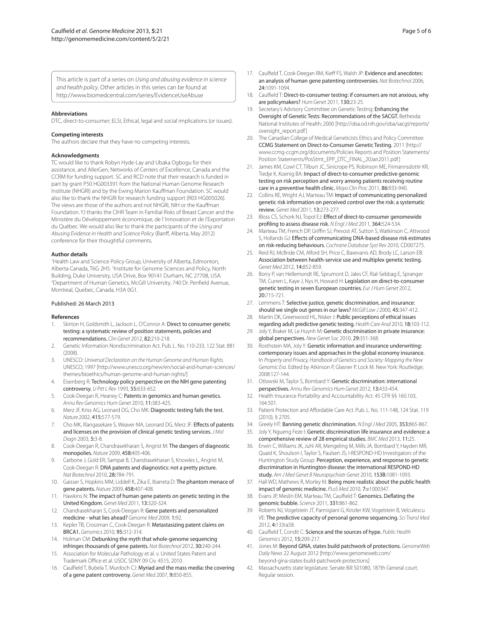This article is part of a series on *Using and abusing evidence in science and health policy*. Other articles in this series can be found at http://www.biomedcentral.com/series/EvidenceUseAbuse

#### **Abbreviations**

DTC, direct-to-consumer; ELSI, Ethical, legal and social implications (or issues).

#### **Competing interests**

The authors declare that they have no competing interests.

#### **Acknowledgments**

TC would like to thank Robyn Hyde-Lay and Ubaka Ogbogu for their assistance, and AllerGen, Networks of Centers of Excellence, Canada and the CCRM for funding support. SC and RCD note that their research is funded in part by grant P50 HG003391 from the National Human Genome Research Institute (NHGRI) and by the Ewing Marion Kauffman Foundation. SC would also like to thank the NHGRI for research funding support (R03 HG005026). The views are those of the authors and not NHGRI, NIH or the Kauffman Foundation. YJ thanks the CIHR Team in Familial Risks of Breast Cancer and the Ministère du Développement économique, de l' Innovation et de l'Exportation du Québec. We would also like to thank the participants of the *Using and Abusing Evidence in Health and Science Policy* (Banff, Alberta, May 2012) conference for their thoughtful comments.

#### **Author details**

1 Health Law and Science Policy Group, University of Alberta, Edmonton, Alberta Canada, T6G 2H5. <sup>2</sup>Institute for Genome Sciences and Policy, North Building, Duke University, USA Drive, Box 90141 Durham, NC 27708, USA. 3 Department of Human Genetics, McGill University, 740 Dr. Penfield Avenue, Montreal, Quebec, Canada, H3A 0G1.

#### Published: 26 March 2013

#### **References**

- Skirton H, Goldsmith L, Jackson L, O'Connor A: Direct to consumer genetic testing: a systematic review of position statements, policies and recommendations. *Clin Genet* 2012, 82:210-218.
- 2. Genetic Information Nondiscrimination Act. Pub. L. No. 110-233, 122 Stat. 881  $(2008)$
- 3. UNESCO: *Universal Declaration on the Human Genome and Human Rights.* UNESCO; 1997 [http://www.unesco.org/new/en/social-and-human-sciences/ themes/bioethics/human-genome-and-human-rights/]
- Eisenberg R: Technology policy perspective on the NIH gene patenting controversy. *U Pitt L Rev* 1993, 55:633-652.
- 5. Cook-Deegan R, Heaney C: Patents in genomics and human genetics. *Annu Rev Genomics Hum Genet* 2010, 11:383-425.
- 6. Merz JF, Kriss AG, Leonard DG, Cho MK: Diagnostic testing fails the test. *Nature* 2002, 415:577-579.
- 7. Cho MK, Illangasekare S, Weaver MA, Leonard DG, Merz JF: Effects of patents and licenses on the provision of clinical genetic testing services. *J Mol Diagn* 2003, 5:3-8.
- 8. Cook-Deegan R, Chandrasekharan S, Angrist M: The dangers of diagnostic monopolies. *Nature* 2009, 458:405-406.
- 9. Carbone J, Gold ER, Sampat B, Chandrasekharan S, Knowles L, Angrist M, Cook-Deegan R: DNA patents and diagnostics: not a pretty picture. *Nat Biotechnol* 2010, 28:784-791.
- 10. Gaisser S, Hopkins MM, Liddell K, Zika E, Ibarreta D: The phantom menace of gene patents. *Nature* 2009, 458:407-408.
- 11. Hawkins N: The impact of human gene patents on genetic testing in the United Kingdom. *Genet Med* 2011, 13:320-324.
- 12. Chandrasekharan S, Cook-Deegan R: Gene patents and personalized medicine - what lies ahead? *Genome Med* 2009, 1:92.
- 13. Kepler TB, Crossman C, Cook-Deegan R: Metastasizing patent claims on BRCA1. *Genomics* 2010, 95:312-314.
- 14. Holman CM: Debunking the myth that whole-genome sequencing infringes thousands of gene patents. *Nat Biotechnol* 2012, 30:240-244.
- 15. Association for Molecular Pathology et al. v. United States Patent and Trademark Office et al. USDC SDNY 09 Civ. 4515, 2010.
- 16. Caulfield T, Bubela T, Murdoch CJ: Myriad and the mass media: the covering of a gene patent controversy. *Genet Med* 2007, 9:850-855.
- 17. Caulfield T, Cook-Deegan RM, Kieff FS, Walsh JP: Evidence and anecdotes: an analysis of human gene patenting controversies. *Nat Biotechnol* 2006, 24:1091-1094.
- 18. Caulfield T: Direct-to-consumer testing: if consumers are not anxious, why are policymakers? *Hum Genet* 2011, 130:23-25.
- 19. Secretary's Advisory Committee on Genetic Testing: Enhancing the Oversight of Genetic Tests: Recommendations of the SACGT. Bethesda: National Institutes of Health; 2000 [http://oba.od.nih.gov/oba/sacgt/reports/ oversight\_report.pdf]
- 20. The Canadian College of Medical Geneticists Ethics and Policy Committee: CCMG Statement on Direct-to-Consumer Genetic Testing. 2011 [http:// www.ccmg-ccgm.org/documents/Policies Reports and Position Statements/ Position Statements/PosStmt\_EPP\_DTC\_FINAL\_20Jan2011.pdf ]
- 21. James KM, Cowl CT, Tilburt JC, Sinicrope PS, Robinson ME, Frimannsdottir KR, Tiedje K, Koenig BA: Impact of direct-to-consumer predictive genomic testing on risk perception and worry among patients receiving routine care in a preventive health clinic. *Mayo Clin Proc* 2011, 86:933-940.
- 22. Collins RE, Wright AJ, Marteau TM: Impact of communicating personalized genetic risk information on perceived control over the risk: a systematic review. *Genet Med* 2011, 13:273-277.
- 23. Bloss CS, Schork NJ, Topol EJ: Effect of direct-to-consumer genomewide profiling to assess disease risk. *N Engl J Med* 2011, 364:524-534.
- 24. Marteau TM, French DP, Griffin SJ, Prevost AT, Sutton S, Watkinson C, Attwood S, Hollands GJ: Effects of communicating DNA-based disease risk estimates on risk-reducing behaviours. *Cochrane Database Syst Rev* 2010, CD007275.
- 25. Reid RJ, McBride CM, Alford SH, Price C, Baxevanis AD, Brody LC, Larson EB: Association between health-service use and multiplex genetic testing. *Genet Med* 2012, 14:852-859.
- 26. Borry P, van Hellemondt RE, Sprumont D, Jales CF, Rial-Sebbag E, Spranger TM, Curren L, Kaye J, Nys H, Howard H: Legislation on direct-to-consumer genetic testing in seven European countries. *Eur J Hum Genet* 2012, 20:715-721.
- 27. Lemmens T: Selective justice, genetic discrimination, and insurance: should we single out genes in our laws? *McGill Law J* 2000, 45:347-412.
- 28. Martin DK, Greenwood HL, Nisker J: Public perceptions of ethical issues regarding adult predictive genetic testing. *Health Care Anal* 2010, 18:103-112.
- 29. Joly Y, Braker M, Le Huynh M: Genetic discrimination in private insurance: global perspectives. *New Genet Soc* 2010, 29:351-368.
- 30. Rosthstein MA, Joly Y: Genetic information and insurance underwriting: contemporary issues and approaches in the global economy insurance. In *Property and Privacy, Handbook of Genetics and Society: Mapping the New Genomic Era*. Edited by Atkinson P, Glasner P, Lock M. New York: Routledge; 2008:127-144.
- 31. Otlowski M, Taylor S, Bombard Y: Genetic discrimination: international perspectives. *Annu Rev Genomics Hum Genet* 2012, 13:433-454.
- 32. Health Insurance Portability and Accountability Act. 45 CFR §§ 160.103, 164.501.
- 33. Patient Protection and Affordable Care Act. Pub. L. No. 111-148, 124 Stat. 119 (2010), § 2705.
- 34. Greely HT: Banning genetic discrimination. *N Engl J Med* 2005, 353:865-867.
- 35. Joly Y, Ngueng Feze I: Genetic discrimination life insurance and evidence: a comprehensive review of 28 empirical studies. *BMC Med* 2013, 11:25.
- Erwin C, Williams JK, Juhl AR, Mengeling M, Mills JA, Bombard Y, Hayden MR, Quaid K, Shoulson I, Taylor S, Paulsen JS; I-RESPOND-HD Investigators of the Huntington Study Group: Perception, experience, and response to genetic discrimination in Huntington disease: the international RESPOND-HD study. *Am J Med Genet B Neuropsychiatr Genet* 2010, 153B:1081-1093.
- 37. Hall WD, Mathews R, Morley KI: Being more realistic about the public health impact of genomic medicine. *PLoS Med* 2010, 7:e1000347.
- 38. Evans JP, Meslin EM, Marteau TM, Caulfield T: Genomics. Deflating the genomic bubble. *Science* 2011, 331:861-862.
- 39. Roberts NJ, Vogelstein JT, Parmigiani G, Kinzler KW, Vogelstein B, Velculescu VE: The predictive capacity of personal genome sequencing. *Sci Transl Med* 2012, 4:133ra58.
- 40. Caulfield T, Condit C: Science and the sources of hype. *Public Health Genomics* 2012, 15:209-217.
- 41. Jones M: Beyond GINA, states build patchwork of protections. *GenomeWeb Daily News* 22 August 2012 [http://www.genomeweb.com/ beyond-gina-states-build-patchwork-protections]
- 42. Massachusetts state legislature. Senate Bill S01080, 187th General court. Regular session.